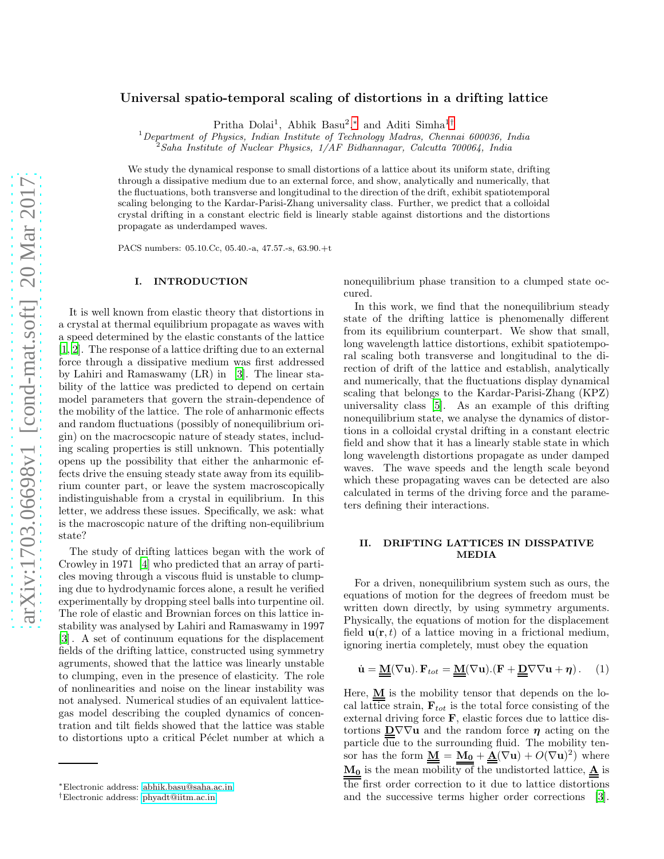# Universal spatio-temporal scaling of distortions in a drifting lattice

Pritha Dolai<sup>1</sup>, Abhik Basu<sup>2</sup>,\* and Aditi Simha<sup>1[†](#page-0-1)</sup>

 $1$ Department of Physics, Indian Institute of Technology Madras, Chennai 600036, India

<sup>2</sup>Saha Institute of Nuclear Physics, 1/AF Bidhannagar, Calcutta 700064, India

We study the dynamical response to small distortions of a lattice about its uniform state, drifting through a dissipative medium due to an external force, and show, analytically and numerically, that the fluctuations, both transverse and longitudinal to the direction of the drift, exhibit spatiotemporal scaling belonging to the Kardar-Parisi-Zhang universality class. Further, we predict that a colloidal crystal drifting in a constant electric field is linearly stable against distortions and the distortions propagate as underdamped waves.

PACS numbers: 05.10.Cc, 05.40.-a, 47.57.-s, 63.90.+t

## I. INTRODUCTION

It is well known from elastic theory that distortions in a crystal at thermal equilibrium propagate as waves with a speed determined by the elastic constants of the lattice [\[1,](#page-9-0) [2\]](#page-9-1). The response of a lattice drifting due to an external force through a dissipative medium was first addressed by Lahiri and Ramaswamy (LR) in [\[3\]](#page-9-2). The linear stability of the lattice was predicted to depend on certain model parameters that govern the strain-dependence of the mobility of the lattice. The role of anharmonic effects and random fluctuations (possibly of nonequilibrium origin) on the macrocscopic nature of steady states, including scaling properties is still unknown. This potentially opens up the possibility that either the anharmonic effects drive the ensuing steady state away from its equilibrium counter part, or leave the system macroscopically indistinguishable from a crystal in equilibrium. In this letter, we address these issues. Specifically, we ask: what is the macroscopic nature of the drifting non-equilibrium state?

The study of drifting lattices began with the work of Crowley in 1971 [\[4\]](#page-9-3) who predicted that an array of particles moving through a viscous fluid is unstable to clumping due to hydrodynamic forces alone, a result he verified experimentally by dropping steel balls into turpentine oil. The role of elastic and Brownian forces on this lattice instability was analysed by Lahiri and Ramaswamy in 1997 [\[3\]](#page-9-2) . A set of continuum equations for the displacement fields of the drifting lattice, constructed using symmetry agruments, showed that the lattice was linearly unstable to clumping, even in the presence of elasticity. The role of nonlinearities and noise on the linear instability was not analysed. Numerical studies of an equivalent latticegas model describing the coupled dynamics of concentration and tilt fields showed that the lattice was stable to distortions upto a critical Péclet number at which a

nonequilibrium phase transition to a clumped state occured.

In this work, we find that the nonequilibrium steady state of the drifting lattice is phenomenally different from its equilibrium counterpart. We show that small, long wavelength lattice distortions, exhibit spatiotemporal scaling both transverse and longitudinal to the direction of drift of the lattice and establish, analytically and numerically, that the fluctuations display dynamical scaling that belongs to the Kardar-Parisi-Zhang (KPZ) universality class [\[5\]](#page-9-4). As an example of this drifting nonequilibrium state, we analyse the dynamics of distortions in a colloidal crystal drifting in a constant electric field and show that it has a linearly stable state in which long wavelength distortions propagate as under damped waves. The wave speeds and the length scale beyond which these propagating waves can be detected are also calculated in terms of the driving force and the parameters defining their interactions.

### II. DRIFTING LATTICES IN DISSPATIVE MEDIA

For a driven, nonequilibrium system such as ours, the equations of motion for the degrees of freedom must be written down directly, by using symmetry arguments. Physically, the equations of motion for the displacement field  $\mathbf{u}(\mathbf{r},t)$  of a lattice moving in a frictional medium, ignoring inertia completely, must obey the equation

<span id="page-0-2"></span>
$$
\dot{\mathbf{u}} = \underline{\underline{\mathbf{M}}}(\nabla \mathbf{u}). \mathbf{F}_{tot} = \underline{\underline{\mathbf{M}}}(\nabla \mathbf{u}). (\mathbf{F} + \underline{\underline{\mathbf{D}}} \nabla \nabla \mathbf{u} + \eta). \quad (1)
$$

Here, M is the mobility tensor that depends on the local lattice strain,  $\mathbf{F}_{tot}$  is the total force consisting of the external driving force F, elastic forces due to lattice distortions  $D\nabla\nabla$ **u** and the random force  $\eta$  acting on the particle due to the surrounding fluid. The mobility tensor has the form  $\underline{\underline{M}} = \underline{M_0} + \underline{\underline{A}}(\nabla \mathbf{u}) + O(\nabla \mathbf{u})^2$  where  $M_0$  is the mean mobility of the undistorted lattice,  $\underline{A}$  is the first order correction to it due to lattice distortions and the successive terms higher order corrections [\[3\]](#page-9-2).

<span id="page-0-0"></span><sup>∗</sup>Electronic address: [abhik.basu@saha.ac.in](mailto:abhik.basu@saha.ac.in)

<span id="page-0-1"></span><sup>†</sup>Electronic address: [phyadt@iitm.ac.in](mailto:phyadt@iitm.ac.in)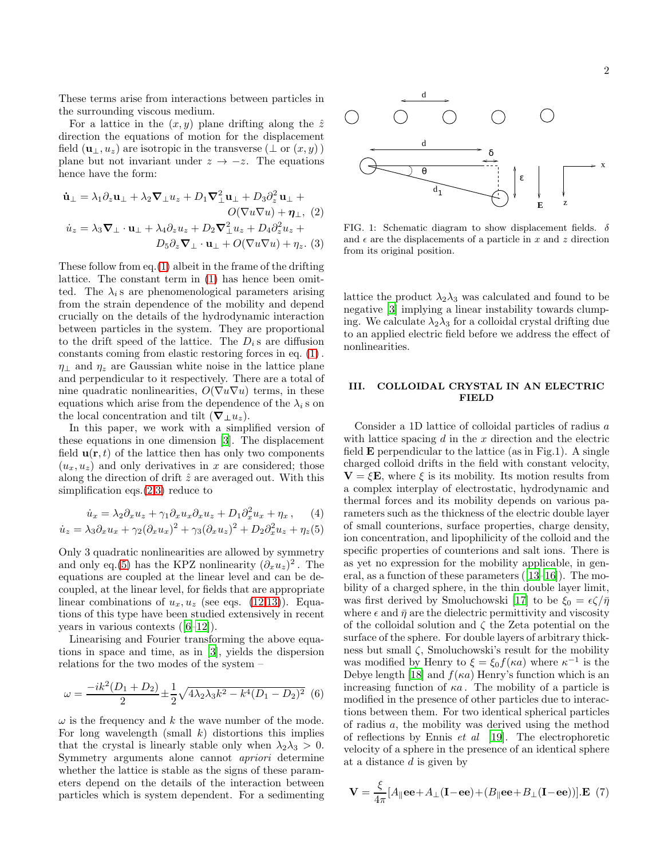These terms arise from interactions between particles in the surrounding viscous medium.

For a lattice in the  $(x, y)$  plane drifting along the  $\hat{z}$ direction the equations of motion for the displacement field  $(\mathbf{u}_{\perp}, u_z)$  are isotropic in the transverse  $(\perp$  or  $(x, y)$ ) plane but not invariant under  $z \rightarrow -z$ . The equations hence have the form:

<span id="page-1-0"></span>
$$
\begin{aligned}\n\dot{\mathbf{u}}_{\perp} &= \lambda_1 \partial_z \mathbf{u}_{\perp} + \lambda_2 \nabla_{\perp} u_z + D_1 \nabla_{\perp}^2 \mathbf{u}_{\perp} + D_3 \partial_z^2 \mathbf{u}_{\perp} + \\
&O(\nabla u \nabla u) + \eta_{\perp}, \ (2) \\
\dot{u}_z &= \lambda_3 \nabla_{\perp} \cdot \mathbf{u}_{\perp} + \lambda_4 \partial_z u_z + D_2 \nabla_{\perp}^2 u_z + D_4 \partial_z^2 u_z + \\
&D_5 \partial_z \nabla_{\perp} \cdot \mathbf{u}_{\perp} + O(\nabla u \nabla u) + \eta_z. \ (3)\n\end{aligned}
$$

These follow from eq.[\(1\)](#page-0-2) albeit in the frame of the drifting lattice. The constant term in [\(1\)](#page-0-2) has hence been omitted. The  $\lambda_i$  s are phenomenological parameters arising from the strain dependence of the mobility and depend crucially on the details of the hydrodynamic interaction between particles in the system. They are proportional to the drift speed of the lattice. The  $D_i$  s are diffusion constants coming from elastic restoring forces in eq. [\(1\)](#page-0-2) .  $\eta_{\perp}$  and  $\eta_z$  are Gaussian white noise in the lattice plane and perpendicular to it respectively. There are a total of nine quadratic nonlinearities,  $O(\nabla u \nabla u)$  terms, in these equations which arise from the dependence of the  $\lambda_i$  s on the local concentration and tilt  $(\nabla_{\perp} u_z)$ .

In this paper, we work with a simplified version of these equations in one dimension [\[3\]](#page-9-2). The displacement field  $\mathbf{u}(\mathbf{r},t)$  of the lattice then has only two components  $(u_x, u_z)$  and only derivatives in x are considered; those along the direction of drift  $\hat{z}$  are averaged out. With this simplification eqs.[\(2,3\)](#page-1-0) reduce to

<span id="page-1-1"></span>
$$
\dot{u}_x = \lambda_2 \partial_x u_z + \gamma_1 \partial_x u_x \partial_x u_z + D_1 \partial_x^2 u_x + \eta_x, \quad (4)
$$

$$
\dot{u}_z = \lambda_3 \partial_x u_x + \gamma_2 (\partial_x u_x)^2 + \gamma_3 (\partial_x u_z)^2 + D_2 \partial_x^2 u_z + \eta_z(5)
$$

Only 3 quadratic nonlinearities are allowed by symmetry and only eq.[\(5\)](#page-1-1) has the KPZ nonlinearity  $(\partial_x u_z)^2$ . The equations are coupled at the linear level and can be decoupled, at the linear level, for fields that are appropriate linear combinations of  $u_x, u_z$  (see eqs. [\(12,13\)](#page-2-0)). Equations of this type have been studied extensively in recent years in various contexts([\[6](#page-9-5)[–12](#page-9-6)]).

Linearising and Fourier transforming the above equations in space and time, as in [\[3\]](#page-9-2), yields the dispersion relations for the two modes of the system –

$$
\omega = \frac{-ik^2(D_1 + D_2)}{2} \pm \frac{1}{2} \sqrt{4\lambda_2 \lambda_3 k^2 - k^4 (D_1 - D_2)^2}
$$
 (6)

 $\omega$  is the frequency and k the wave number of the mode. For long wavelength (small  $k$ ) distortions this implies that the crystal is linearly stable only when  $\lambda_2 \lambda_3 > 0$ . Symmetry arguments alone cannot apriori determine whether the lattice is stable as the signs of these parameters depend on the details of the interaction between particles which is system dependent. For a sedimenting



FIG. 1: Schematic diagram to show displacement fields.  $\delta$ and  $\epsilon$  are the displacements of a particle in x and z direction from its original position.

lattice the product  $\lambda_2\lambda_3$  was calculated and found to be negative [\[3](#page-9-2)] implying a linear instability towards clumping. We calculate  $\lambda_2 \lambda_3$  for a colloidal crystal drifting due to an applied electric field before we address the effect of nonlinearities.

### III. COLLOIDAL CRYSTAL IN AN ELECTRIC FIELD

Consider a 1D lattice of colloidal particles of radius a with lattice spacing  $d$  in the  $x$  direction and the electric field  $E$  perpendicular to the lattice (as in Fig.1). A single charged colloid drifts in the field with constant velocity,  $V = \xi E$ , where  $\xi$  is its mobility. Its motion results from a complex interplay of electrostatic, hydrodynamic and thermal forces and its mobility depends on various parameters such as the thickness of the electric double layer of small counterions, surface properties, charge density, ion concentration, and lipophilicity of the colloid and the specific properties of counterions and salt ions. There is as yet no expression for the mobility applicable, in general, as a function of these parameters([\[13](#page-9-7)[–16\]](#page-9-8)). The mobility of a charged sphere, in the thin double layer limit, was first derived by Smoluchowski [\[17](#page-9-9)] to be  $\xi_0 = \epsilon \zeta / \bar{\eta}$ where  $\epsilon$  and  $\bar{\eta}$  are the dielectric permittivity and viscosity of the colloidal solution and  $\zeta$  the Zeta potential on the surface of the sphere. For double layers of arbitrary thickness but small  $\zeta$ , Smoluchowski's result for the mobility was modified by Henry to  $\xi = \xi_0 f(\kappa a)$  where  $\kappa^{-1}$  is the Debye length [\[18\]](#page-9-10) and  $f(\kappa a)$  Henry's function which is an increasing function of  $\kappa a$ . The mobility of a particle is modified in the presence of other particles due to interactions between them. For two identical spherical particles of radius a, the mobility was derived using the method of reflections by Ennis et al [\[19](#page-9-11)]. The electrophoretic velocity of a sphere in the presence of an identical sphere at a distance  $d$  is given by

<span id="page-1-2"></span>
$$
\mathbf{V} = \frac{\xi}{4\pi} [A_{\parallel} \mathbf{ee} + A_{\perp} (\mathbf{I} - \mathbf{ee}) + (B_{\parallel} \mathbf{ee} + B_{\perp} (\mathbf{I} - \mathbf{ee}))]. \mathbf{E} \tag{7}
$$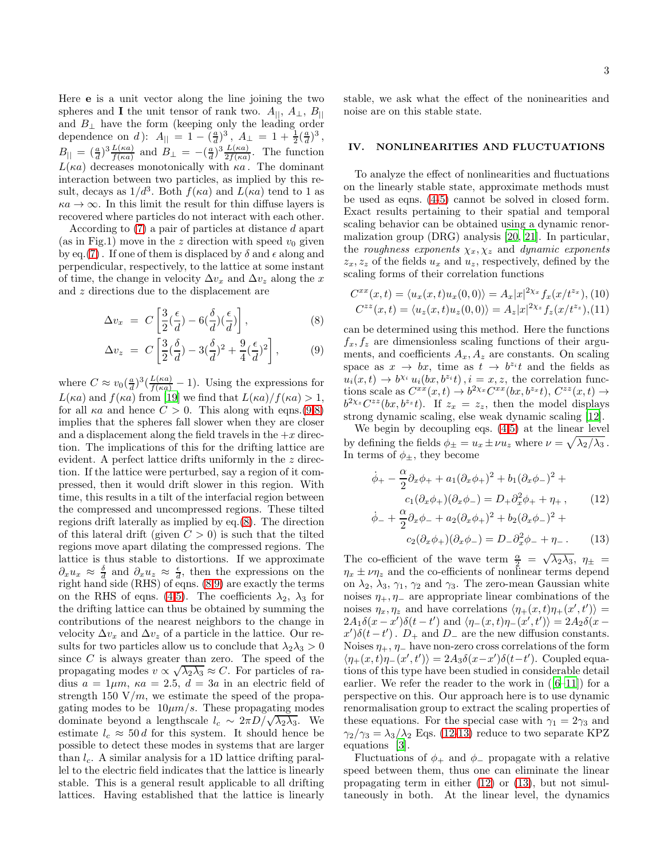Here e is a unit vector along the line joining the two spheres and I the unit tensor of rank two.  $A_{||}, A_{\perp}, B_{||}$ and  $B_{\perp}$  have the form (keeping only the leading order dependence on d):  $A_{\parallel} = 1 - (\frac{a}{d})^3$ ,  $A_{\perp} = 1 + \frac{1}{2} (\frac{a}{d})^3$ ,  $B_{\parallel} = \left(\frac{a}{d}\right)^3 \frac{L(\kappa a)}{f(\kappa a)}$  and  $B_{\perp} = -\left(\frac{a}{d}\right)^3 \frac{L(\kappa a)}{2f(\kappa a)}$ . The function  $L(\kappa a)$  decreases monotonically with  $\kappa a$ . The dominant interaction between two particles, as implied by this result, decays as  $1/d^3$ . Both  $f(\kappa a)$  and  $L(\kappa a)$  tend to 1 as  $\kappa a \to \infty$ . In this limit the result for thin diffuse layers is recovered where particles do not interact with each other.

According to [\(7\)](#page-1-2) a pair of particles at distance d apart (as in Fig.1) move in the z direction with speed  $v_0$  given by eq.[\(7\)](#page-1-2). If one of them is displaced by  $\delta$  and  $\epsilon$  along and perpendicular, respectively, to the lattice at some instant of time, the change in velocity  $\Delta v_x$  and  $\Delta v_z$  along the x and z directions due to the displacement are

<span id="page-2-1"></span>
$$
\Delta v_x = C \left[ \frac{3}{2} (\frac{\epsilon}{d}) - 6(\frac{\delta}{d}) (\frac{\epsilon}{d}) \right],
$$
 (8)

$$
\Delta v_z \ = \ C \left[ \frac{3}{2} (\frac{\delta}{d}) - 3(\frac{\delta}{d})^2 + \frac{9}{4} (\frac{\epsilon}{d})^2 \right], \tag{9}
$$

where  $C \approx v_0(\frac{a}{d})^3(\frac{L(\kappa a)}{f(\kappa a)}-1)$ . Using the expressions for  $L(\kappa a)$  and  $f(\kappa a)$  from [\[19\]](#page-9-11) we find that  $L(\kappa a)/f(\kappa a) > 1$ . for all  $\kappa a$  and hence  $C > 0$ . This along with eqns.[\(9,8\)](#page-2-1) implies that the spheres fall slower when they are closer and a displacement along the field travels in the  $+x$  direction. The implications of this for the drifting lattice are evident. A perfect lattice drifts uniformly in the z direction. If the lattice were perturbed, say a region of it compressed, then it would drift slower in this region. With time, this results in a tilt of the interfacial region between the compressed and uncompressed regions. These tilted regions drift laterally as implied by eq.[\(8\)](#page-2-1). The direction of this lateral drift (given  $C > 0$ ) is such that the tilted regions move apart dilating the compressed regions. The lattice is thus stable to distortions. If we approximate  $\partial_x u_x \approx \frac{\delta}{d}$  and  $\partial_x u_z \approx \frac{\epsilon}{d}$ , then the expressions on the right hand side (RHS) of eqns. [\(8,9\)](#page-2-1) are exactly the terms on the RHS of eqns. [\(4,5\)](#page-1-1). The coefficients  $\lambda_2$ ,  $\lambda_3$  for the drifting lattice can thus be obtained by summing the contributions of the nearest neighbors to the change in velocity  $\Delta v_x$  and  $\Delta v_z$  of a particle in the lattice. Our results for two particles allow us to conclude that  $\lambda_2 \lambda_3 > 0$ since  $C$  is always greater than zero. The speed of the propagating modes  $v \propto \sqrt{\lambda_2 \lambda_3} \approx C$ . For particles of radius  $a = 1 \mu m$ ,  $\kappa a = 2.5$ ,  $d = 3a$  in an electric field of strength 150  $V/m$ , we estimate the speed of the propagating modes to be  $10 \mu m/s$ . These propagating modes dominate beyond a lengthscale  $l_c \sim 2\pi D/\sqrt{\lambda_2\lambda_3}$ . We estimate  $l_c \approx 50 d$  for this system. It should hence be possible to detect these modes in systems that are larger than  $l_c$ . A similar analysis for a 1D lattice drifting parallel to the electric field indicates that the lattice is linearly stable. This is a general result applicable to all drifting lattices. Having established that the lattice is linearly

stable, we ask what the effect of the noninearities and noise are on this stable state.

### IV. NONLINEARITIES AND FLUCTUATIONS

To analyze the effect of nonlinearities and fluctuations on the linearly stable state, approximate methods must be used as eqns. [\(4-5\)](#page-1-1) cannot be solved in closed form. Exact results pertaining to their spatial and temporal scaling behavior can be obtained using a dynamic renormalization group (DRG) analysis [\[20,](#page-9-12) [21](#page-9-13)]. In particular, the roughness exponents  $\chi_x, \chi_z$  and dynamic exponents  $z_x, z_z$  of the fields  $u_x$  and  $u_z$ , respectively, defined by the scaling forms of their correlation functions

<span id="page-2-2"></span>
$$
C^{xx}(x,t) = \langle u_x(x,t)u_x(0,0) \rangle = A_x |x|^{2\chi_x} f_x(x/t^{z_x}), (10)
$$
  

$$
C^{zz}(x,t) = \langle u_z(x,t)u_z(0,0) \rangle = A_z |x|^{2\chi_z} f_z(x/t^{z_z}), (11)
$$

can be determined using this method. Here the functions  $f_x, f_z$  are dimensionless scaling functions of their arguments, and coefficients  $A_x, A_z$  are constants. On scaling space as  $x \to bx$ , time as  $t \to b^{z_i}t$  and the fields as  $u_i(x,t) \to b^{\chi_i} u_i(bx, b^{z_i}t), i = x, z$ , the correlation functions scale as  $C^{xx}(x,t) \to b^{2\chi_x} C^{xx}(bx,b^{z_x}t), C^{zz}(x,t) \to$  $b^{2\chi_z}C^{zz}(bx, b^{z_z}t)$ . If  $z_x = z_z$ , then the model displays strong dynamic scaling, else weak dynamic scaling [\[12\]](#page-9-6).

We begin by decoupling eqs.  $(4,5)$  at the linear level by defining the fields  $\phi_{\pm} = u_x \pm \nu u_z$  where  $\nu = \sqrt{\lambda_2/\lambda_3}$ . In terms of  $\phi_{\pm}$ , they become

<span id="page-2-0"></span>
$$
\dot{\phi}_{+} - \frac{\alpha}{2} \partial_{x} \phi_{+} + a_{1} (\partial_{x} \phi_{+})^{2} + b_{1} (\partial_{x} \phi_{-})^{2} + c_{1} (\partial_{x} \phi_{+}) (\partial_{x} \phi_{-}) = D_{+} \partial_{x}^{2} \phi_{+} + \eta_{+}, \qquad (12)
$$

$$
\dot{\phi}_{-} + \frac{\alpha}{2} \partial_{x} \phi_{-} + a_{2} (\partial_{x} \phi_{+})^{2} + b_{2} (\partial_{x} \phi_{-})^{2} + c_{2} (\partial_{x} \phi_{+}) (\partial_{x} \phi_{-}) = D_{-} \partial_{x}^{2} \phi_{-} + \eta_{-}. \qquad (13)
$$

The co-efficient of the wave term  $\frac{\alpha}{2} = \sqrt{\lambda_2 \lambda_3}$ ,  $\eta_{\pm} =$  $\eta_x \pm \nu \eta_z$  and the co-efficients of nonlinear terms depend on  $\lambda_2$ ,  $\lambda_3$ ,  $\gamma_1$ ,  $\gamma_2$  and  $\gamma_3$ . The zero-mean Gaussian white noises  $\eta_+, \eta_-$  are appropriate linear combinations of the noises  $\eta_x, \eta_z$  and have correlations  $\langle \eta_+(x,t)\eta_+(x',t') \rangle =$  $2A_1\delta(x-x')\delta(t-t')$  and  $\langle\eta_-(x,t)\eta_-(x',t')\rangle = 2A_2\delta(x-t')$  $(x')\delta(t-t')$ .  $D_+$  and  $D_-$  are the new diffusion constants. Noises  $\eta_+$ ,  $\eta_-$  have non-zero cross correlations of the form  $\langle \eta_+(x,t)\eta_-(x',t') \rangle = 2A_3\delta(x-x')\delta(t-t')$ . Coupled equations of this type have been studied in considerable detail earlier.We refer the reader to the work in  $([6-11])$  $([6-11])$  $([6-11])$  for a perspective on this. Our approach here is to use dynamic renormalisation group to extract the scaling properties of these equations. For the special case with  $\gamma_1 = 2\gamma_3$  and  $\gamma_2/\gamma_3 = \lambda_3/\lambda_2$  Eqs. [\(12-13\)](#page-2-0) reduce to two separate KPZ equations [\[3\]](#page-9-2).

Fluctuations of  $\phi_+$  and  $\phi_-$  propagate with a relative speed between them, thus one can eliminate the linear propagating term in either [\(12\)](#page-2-0) or [\(13\)](#page-2-0), but not simultaneously in both. At the linear level, the dynamics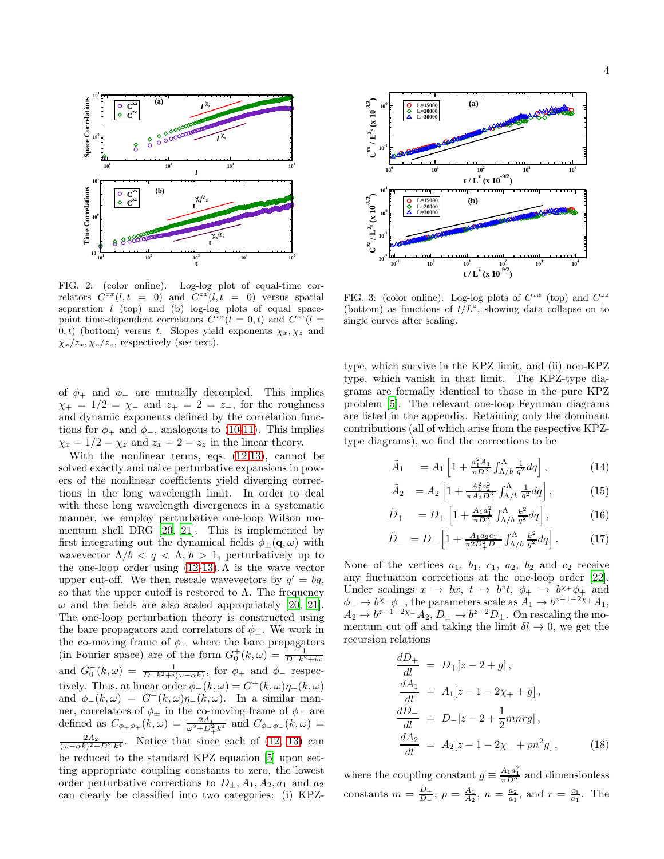

<span id="page-3-0"></span>FIG. 2: (color online). Log-log plot of equal-time correlators  $\hat{C}^{xx}(l,t = 0)$  and  $\hat{C}^{zz}(l,t = 0)$  versus spatial separation  $l$  (top) and (b) log-log plots of equal spacepoint time-dependent correlators  $C^{xx}(l=0,t)$  and  $C^{zz}(l=0,t)$ 0, t) (bottom) versus t. Slopes yield exponents  $\chi_x, \chi_z$  and  $\chi_x/z_x, \chi_z/z_z$ , respectively (see text).

of  $\phi_+$  and  $\phi_-$  are mutually decoupled. This implies  $\chi_{+} = 1/2 = \chi_{-}$  and  $z_{+} = 2 = z_{-}$ , for the roughness and dynamic exponents defined by the correlation functions for  $\phi_+$  and  $\phi_-$ , analogous to [\(10-11\)](#page-2-2). This implies  $\chi_x = 1/2 = \chi_z$  and  $z_x = 2 = z_z$  in the linear theory.

With the nonlinear terms, eqs. [\(12,13\)](#page-2-0), cannot be solved exactly and naive perturbative expansions in powers of the nonlinear coefficients yield diverging corrections in the long wavelength limit. In order to deal with these long wavelength divergences in a systematic manner, we employ perturbative one-loop Wilson momentum shell DRG [\[20](#page-9-12), [21\]](#page-9-13). This is implemented by first integrating out the dynamical fields  $\phi_{\pm}(\mathbf{q}, \omega)$  with wavevector  $\Lambda/b < q < \Lambda, b > 1$ , perturbatively up to the one-loop order using  $(12-13)$ .  $\Lambda$  is the wave vector upper cut-off. We then rescale wavevectors by  $q' = bq$ , so that the upper cutoff is restored to  $\Lambda$ . The frequency  $\omega$  and the fields are also scaled appropriately [\[20](#page-9-12), [21\]](#page-9-13). The one-loop perturbation theory is constructed using the bare propagators and correlators of  $\phi_{\pm}$ . We work in the co-moving frame of  $\phi_+$  where the bare propagators (in Fourier space) are of the form  $G_0^+(k,\omega) = \frac{1}{D_+k^2+i\omega}$ and  $G_0^-(k,\omega) = \frac{1}{D-k^2+i(\omega-\alpha k)}$ , for  $\phi_+$  and  $\phi_-$  respectively. Thus, at linear order  $\phi_{+}(k,\omega) = G^{+}(k,\omega)\eta_{+}(k,\omega)$ and  $\phi_-(k,\omega) = G^-(k,\omega)\eta_-(k,\omega)$ . In a similar manner, correlators of  $\phi_{\pm}$  in the co-moving frame of  $\phi_{+}$  are defined as  $C_{\phi_+\phi_+}(k,\omega) = \frac{2A_1}{\omega^2 + D_+^2 k^4}$  and  $C_{\phi_-\phi_-}(k,\omega) =$  $\frac{2A_2}{(\omega-\alpha k)^2+D_-^2k^4}$ . Notice that since each of [\(12, 13\)](#page-2-0) can be reduced to the standard KPZ equation [\[5](#page-9-4)] upon setting appropriate coupling constants to zero, the lowest order perturbative corrections to  $D_{\pm}$ ,  $A_1$ ,  $A_2$ ,  $a_1$  and  $a_2$ can clearly be classified into two categories: (i) KPZ-



<span id="page-3-1"></span>FIG. 3: (color online). Log-log plots of  $C^{xx}$  (top) and  $C^{zz}$ (bottom) as functions of  $t/L^z$ , showing data collapse on to single curves after scaling.

type, which survive in the KPZ limit, and (ii) non-KPZ type, which vanish in that limit. The KPZ-type diagrams are formally identical to those in the pure KPZ problem [\[5\]](#page-9-4). The relevant one-loop Feynman diagrams are listed in the appendix. Retaining only the dominant contributions (all of which arise from the respective KPZtype diagrams), we find the corrections to be

$$
\tilde{A}_1 = A_1 \left[ 1 + \frac{a_1^2 A_1}{\pi D_+^3} \int_{\Lambda/b}^{\Lambda} \frac{1}{q^2} dq \right],
$$
\n(14)

$$
\tilde{A}_2 = A_2 \left[ 1 + \frac{A_1^2 a_2^2}{\pi A_2 D_1^3} \int_{\Lambda/b}^{\Lambda} \frac{1}{q^2} dq \right],\tag{15}
$$

$$
\tilde{D}_{+} = D_{+} \left[ 1 + \frac{A_{1}a_{1}^{2}}{\pi D_{+}^{3}} \int_{\Lambda/b}^{\Lambda} \frac{k^{2}}{q^{2}} dq \right], \qquad (16)
$$

$$
\tilde{D}_{-} = D_{-} \left[ 1 + \frac{A_{1} a_{2} c_{1}}{\pi 2 D_{+}^{2} D_{-}} \int_{\Lambda/b}^{\Lambda} \frac{k^{2}}{q^{2}} dq \right]. \tag{17}
$$

None of the vertices  $a_1$ ,  $b_1$ ,  $c_1$ ,  $a_2$ ,  $b_2$  and  $c_2$  receive any fluctuation corrections at the one-loop order [\[22\]](#page-9-15). Under scalings  $x \to bx$ ,  $t \to b^z t$ ,  $\phi_+ \to b^{x+} \phi_+$  and  $\phi_- \to b^{\chi_-} \phi_-,$  the parameters scale as  $A_1 \to b^{z-1-2\chi_+} A_1$ ,  $A_2 \to b^{z-1-2\chi_-} A_2, D_{\pm} \to b^{z-2} D_{\pm}.$  On rescaling the momentum cut off and taking the limit  $\delta l \rightarrow 0$ , we get the recursion relations

$$
\frac{dD_{+}}{dl} = D_{+}[z - 2 + g],\n\frac{dA_{1}}{dl} = A_{1}[z - 1 - 2\chi_{+} + g],\n\frac{dD_{-}}{dl} = D_{-}[z - 2 + \frac{1}{2}mnrg],\n\frac{dA_{2}}{dl} = A_{2}[z - 1 - 2\chi_{-} + pn^{2}g],
$$
\n(18)

where the coupling constant  $g \equiv \frac{A_1 a_1^2}{\pi D_1^3}$  and dimensionless constants  $m = \frac{D_{+}}{D_{-}}$  $\frac{D_+}{D_-}, p = \frac{A_1}{A_2}, n = \frac{a_2}{a_1}, \text{ and } r = \frac{c_1}{a_1}.$  The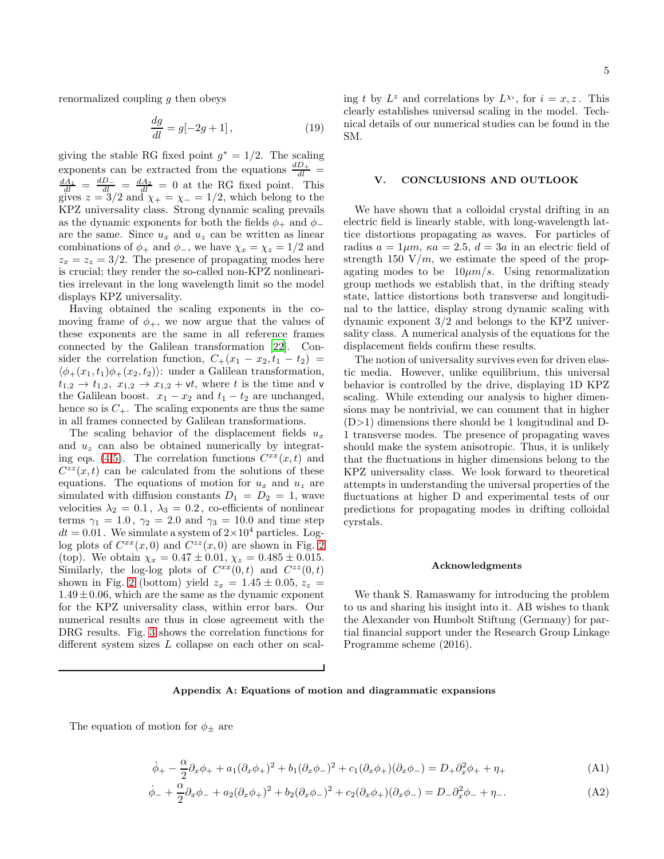renormalized coupling  $g$  then obeys

$$
\frac{dg}{dl} = g[-2g+1],
$$
\n(19)

giving the stable RG fixed point  $g^* = 1/2$ . The scaling exponents can be extracted from the equations  $\frac{dD_{+}}{dl}$  =  $\frac{dA_1}{dl} = \frac{dD_-}{dl} = \frac{dA_2}{dl} = 0$  at the RG fixed point. This gives  $z = 3/2$  and  $\chi_{+} = \chi_{-} = 1/2$ , which belong to the KPZ universality class. Strong dynamic scaling prevails as the dynamic exponents for both the fields  $\phi_+$  and  $\phi_$ are the same. Since  $u_x$  and  $u_z$  can be written as linear combinations of  $\phi_+$  and  $\phi_-,$  we have  $\chi_x = \chi_z = 1/2$  and  $z_x = z_z = 3/2$ . The presence of propagating modes here is crucial; they render the so-called non-KPZ nonlinearities irrelevant in the long wavelength limit so the model displays KPZ universality.

Having obtained the scaling exponents in the comoving frame of  $\phi_+$ , we now argue that the values of these exponents are the same in all reference frames connected by the Galilean transformation [\[22\]](#page-9-15). Consider the correlation function,  $C_+(x_1-x_2,t_1-t_2)$  =  $\langle \phi_+(x_1, t_1) \phi_+(x_2, t_2) \rangle$ : under a Galilean transformation,  $t_{1,2} \rightarrow t_{1,2}, x_{1,2} \rightarrow x_{1,2} + \nu t$ , where t is the time and v the Galilean boost.  $x_1 - x_2$  and  $t_1 - t_2$  are unchanged, hence so is  $C_{+}$ . The scaling exponents are thus the same in all frames connected by Galilean transformations.

The scaling behavior of the displacement fields  $u_x$ and  $u<sub>z</sub>$  can also be obtained numerically by integrat-ing eqs. [\(4,5\)](#page-1-1). The correlation functions  $C^{xx}(x,t)$  and  $C^{zz}(x,t)$  can be calculated from the solutions of these equations. The equations of motion for  $u_x$  and  $u_z$  are simulated with diffusion constants  $D_1 = D_2 = 1$ , wave velocities  $\lambda_2 = 0.1$ ,  $\lambda_3 = 0.2$ , co-efficients of nonlinear terms  $\gamma_1 = 1.0$ ,  $\gamma_2 = 2.0$  and  $\gamma_3 = 10.0$  and time step  $dt = 0.01$ . We simulate a system of  $2 \times 10^4$  particles. Loglog plots of  $C^{xx}(x,0)$  and  $C^{zz}(x,0)$  are shown in Fig. [2](#page-3-0) (top). We obtain  $\chi_x = 0.47 \pm 0.01$ ,  $\chi_z = 0.485 \pm 0.015$ . Similarly, the log-log plots of  $C^{xx}(0,t)$  and  $C^{zz}(0,t)$ shown in Fig. [2](#page-3-0) (bottom) yield  $z_x = 1.45 \pm 0.05$ ,  $z_z =$  $1.49 \pm 0.06$ , which are the same as the dynamic exponent for the KPZ universality class, within error bars. Our numerical results are thus in close agreement with the DRG results. Fig. [3](#page-3-1) shows the correlation functions for different system sizes L collapse on each other on scal-

ing t by  $L^z$  and correlations by  $L^{\chi_i}$ , for  $i = x, z$ . This clearly establishes universal scaling in the model. Technical details of our numerical studies can be found in the SM.

### V. CONCLUSIONS AND OUTLOOK

We have shown that a colloidal crystal drifting in an electric field is linearly stable, with long-wavelength lattice distortions propagating as waves. For particles of radius  $a = 1 \mu m$ ,  $\kappa a = 2.5$ ,  $d = 3a$  in an electric field of strength 150  $V/m$ , we estimate the speed of the propagating modes to be  $10 \mu m/s$ . Using renormalization group methods we establish that, in the drifting steady state, lattice distortions both transverse and longitudinal to the lattice, display strong dynamic scaling with dynamic exponent 3/2 and belongs to the KPZ universality class. A numerical analysis of the equations for the displacement fields confirm these results.

The notion of universality survives even for driven elastic media. However, unlike equilibrium, this universal behavior is controlled by the drive, displaying 1D KPZ scaling. While extending our analysis to higher dimensions may be nontrivial, we can comment that in higher (D>1) dimensions there should be 1 longitudinal and D-1 transverse modes. The presence of propagating waves should make the system anisotropic. Thus, it is unlikely that the fluctuations in higher dimensions belong to the KPZ universality class. We look forward to theoretical attempts in understanding the universal properties of the fluctuations at higher D and experimental tests of our predictions for propagating modes in drifting colloidal cyrstals.

#### Acknowledgments

We thank S. Ramaswamy for introducing the problem to us and sharing his insight into it. AB wishes to thank the Alexander von Humbolt Stiftung (Germany) for partial financial support under the Research Group Linkage Programme scheme (2016).

### Appendix A: Equations of motion and diagrammatic expansions

The equation of motion for  $\phi_{\pm}$  are

<span id="page-4-0"></span>
$$
\dot{\phi}_{+} - \frac{\alpha}{2}\partial_{x}\phi_{+} + a_{1}(\partial_{x}\phi_{+})^{2} + b_{1}(\partial_{x}\phi_{-})^{2} + c_{1}(\partial_{x}\phi_{+})(\partial_{x}\phi_{-}) = D_{+}\partial_{x}^{2}\phi_{+} + \eta_{+}
$$
(A1)

$$
\dot{\phi}_{-} + \frac{\alpha}{2}\partial_{x}\phi_{-} + a_{2}(\partial_{x}\phi_{+})^{2} + b_{2}(\partial_{x}\phi_{-})^{2} + c_{2}(\partial_{x}\phi_{+})(\partial_{x}\phi_{-}) = D_{-}\partial_{x}^{2}\phi_{-} + \eta_{-}.
$$
\n(A2)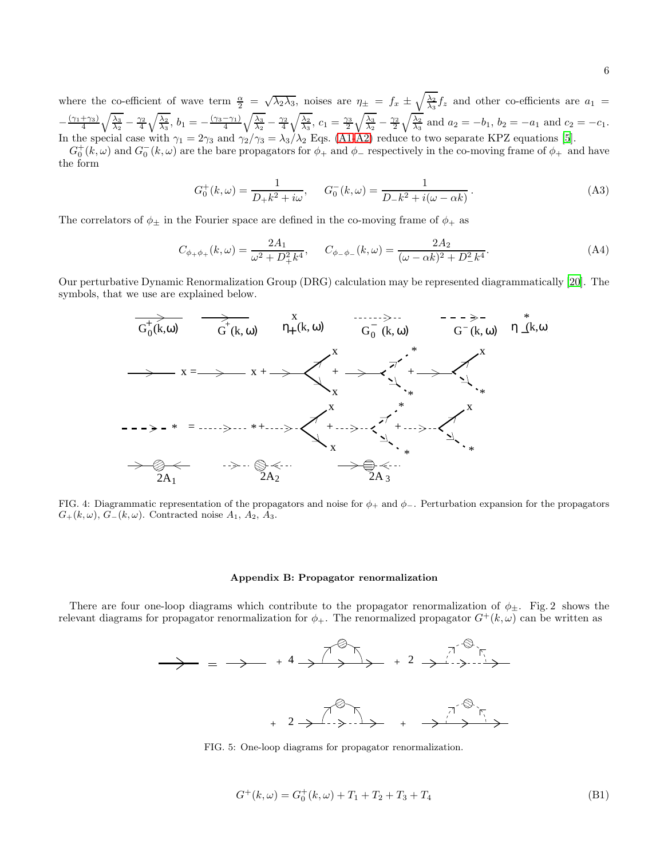where the co-efficient of wave term  $\frac{\alpha}{2} = \sqrt{\lambda_2 \lambda_3}$ , noises are  $\eta_{\pm} = f_x \pm \sqrt{\frac{\lambda_2}{\lambda_3}} f_z$  and other co-efficients are  $a_1 =$  $-\frac{(\gamma_1+\gamma_3)}{4}$  $\sqrt{\frac{\lambda_3}{\lambda_2}} - \frac{\gamma_2}{4} \sqrt{\frac{\lambda_2}{\lambda_3}}, b_1 = -\frac{(\gamma_3 - \gamma_1)}{4} \sqrt{\frac{\lambda_3}{\lambda_2}} - \frac{\gamma_2}{4} \sqrt{\frac{\lambda_2}{\lambda_3}}, c_1 = \frac{\gamma_3}{2} \sqrt{\frac{\lambda_3}{\lambda_2}} - \frac{\gamma_2}{2} \sqrt{\frac{\lambda_2}{\lambda_3}} \text{ and } a_2 = -b_1, b_2 = -a_1 \text{ and } c_2 = -c_1.$ In the special case with  $\gamma_1 = 2\gamma_3$  and  $\gamma_2/\gamma_3 = \lambda_3/\lambda_2$  Eqs. [\(A1-A2\)](#page-4-0) reduce to two separate KPZ equations [\[5](#page-9-4)].

 $G_0^+(k,\omega)$  and  $G_0^-(k,\omega)$  are the bare propagators for  $\phi_+$  and  $\phi_-$  respectively in the co-moving frame of  $\phi_+$  and have the form

$$
G_0^+(k,\omega) = \frac{1}{D_+k^2 + i\omega}, \qquad G_0^-(k,\omega) = \frac{1}{D_-k^2 + i(\omega - \alpha k)}.
$$
 (A3)

The correlators of  $\phi_{\pm}$  in the Fourier space are defined in the co-moving frame of  $\phi_{+}$  as

$$
C_{\phi+\phi+}(k,\omega) = \frac{2A_1}{\omega^2 + D_+^2 k^4}, \qquad C_{\phi-\phi-}(k,\omega) = \frac{2A_2}{(\omega - \alpha k)^2 + D_-^2 k^4}.
$$
 (A4)

Our perturbative Dynamic Renormalization Group (DRG) calculation may be represented diagrammatically [\[20](#page-9-12)]. The symbols, that we use are explained below.



FIG. 4: Diagrammatic representation of the propagators and noise for  $\phi_+$  and  $\phi_-$ . Perturbation expansion for the propagators  $G_{+}(k,\omega)$ ,  $G_{-}(k,\omega)$ . Contracted noise  $A_1$ ,  $A_2$ ,  $A_3$ .

### Appendix B: Propagator renormalization

There are four one-loop diagrams which contribute to the propagator renormalization of  $\phi_{\pm}$ . Fig. 2 shows the relevant diagrams for propagator renormalization for  $\phi_+$ . The renormalized propagator  $G^+(k,\omega)$  can be written as



FIG. 5: One-loop diagrams for propagator renormalization.

$$
G^+(k,\omega) = G_0^+(k,\omega) + T_1 + T_2 + T_3 + T_4
$$
\n(B1)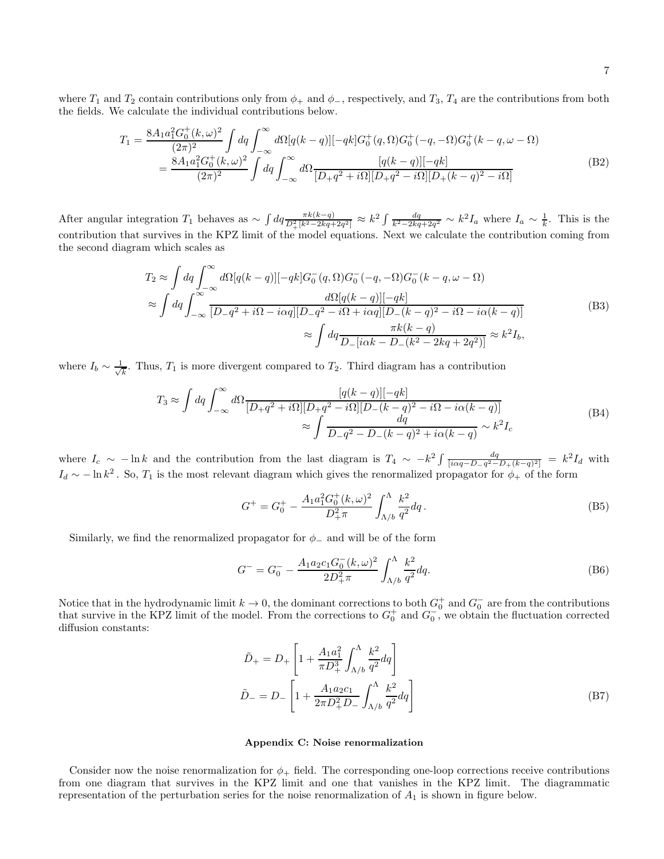where  $T_1$  and  $T_2$  contain contributions only from  $\phi_+$  and  $\phi_-$ , respectively, and  $T_3$ ,  $T_4$  are the contributions from both the fields. We calculate the individual contributions below.

$$
T_1 = \frac{8A_1a_1^2G_0^+(k,\omega)^2}{(2\pi)^2} \int dq \int_{-\infty}^{\infty} d\Omega [q(k-q)][-qk]G_0^+(q,\Omega)G_0^+(-q,-\Omega)G_0^+(k-q,\omega-\Omega)
$$
  
= 
$$
\frac{8A_1a_1^2G_0^+(k,\omega)^2}{(2\pi)^2} \int dq \int_{-\infty}^{\infty} d\Omega \frac{[q(k-q)][-qk]}{[D_q q^2 + i\Omega][D_q q^2 - i\Omega][D_+(k-q)^2 - i\Omega]}
$$
(B2)

After angular integration  $T_1$  behaves as  $\sim \int dq \frac{\pi k(k-q)}{D_+^2 [k^2 - 2kq + 2q^2]} \approx k^2 \int \frac{dq}{k^2 - 2kq + 2q^2} \sim k^2 I_a$  where  $I_a \sim \frac{1}{k}$ . This is the contribution that survives in the KPZ limit of the model equations. Next we calculate the contribution coming from the second diagram which scales as

$$
T_2 \approx \int dq \int_{-\infty}^{\infty} d\Omega [q(k-q)][-qk] G_0^-(q,\Omega) G_0^-(q,-\Omega) G_0^-(k-q,\omega-\Omega)
$$
  
\n
$$
\approx \int dq \int_{-\infty}^{\infty} \frac{d\Omega [q(k-q)][-qk]}{[D-q^2+i\Omega - i\alpha q][D-q^2 - i\Omega + i\alpha q][D_-(k-q)^2 - i\Omega - i\alpha(k-q)]}
$$
  
\n
$$
\approx \int dq \frac{\pi k(k-q)}{D_-[i\alpha k - D_-(k^2 - 2kq + 2q^2)]} \approx k^2 I_b,
$$
\n(B3)

where  $I_b \sim \frac{1}{\sqrt{2}}$  $\frac{1}{k}$ . Thus,  $T_1$  is more divergent compared to  $T_2$ . Third diagram has a contribution

$$
T_3 \approx \int dq \int_{-\infty}^{\infty} d\Omega \frac{[q(k-q)][-qk]}{[D_{+}q^{2} + i\Omega][D_{+}q^{2} - i\Omega][D_{-}(k-q)^{2} - i\Omega - i\alpha(k-q)]} \approx \int \frac{dq}{D_{-}q^{2} - D_{-}(k-q)^{2} + i\alpha(k-q)} \sim k^{2} I_c
$$
\n(B4)

where  $I_c \sim -\ln k$  and the contribution from the last diagram is  $T_4 \sim -k^2 \int \frac{dq}{[i\alpha q - D_q q^2 - D_+(k-q)^2]} = k^2 I_d$  with  $I_d \sim -\ln k^2$ . So,  $T_1$  is the most relevant diagram which gives the renormalized propagator for  $\phi_+$  of the form

$$
G^{+} = G_{0}^{+} - \frac{A_{1}a_{1}^{2}G_{0}^{+}(k,\omega)^{2}}{D_{+}^{2}\pi} \int_{\Lambda/b}^{\Lambda} \frac{k^{2}}{q^{2}}dq.
$$
 (B5)

Similarly, we find the renormalized propagator for  $\phi_-\$  and will be of the form

$$
G^{-} = G_0^{-} - \frac{A_1 a_2 c_1 G_0^{-} (k, \omega)^2}{2D_+^2 \pi} \int_{\Lambda/b}^{\Lambda} \frac{k^2}{q^2} dq.
$$
 (B6)

Notice that in the hydrodynamic limit  $k \to 0$ , the dominant corrections to both  $G_0^+$  and  $G_0^-$  are from the contributions that survive in the KPZ limit of the model. From the corrections to  $G_0^+$  and  $G_0^-$ , we obtain the fluctuation corrected diffusion constants:

$$
\tilde{D}_{+} = D_{+} \left[ 1 + \frac{A_{1}a_{1}^{2}}{\pi D_{+}^{3}} \int_{\Lambda/b}^{\Lambda} \frac{k^{2}}{q^{2}} dq \right]
$$
\n
$$
\tilde{D}_{-} = D_{-} \left[ 1 + \frac{A_{1}a_{2}c_{1}}{2\pi D_{+}^{2}D_{-}} \int_{\Lambda/b}^{\Lambda} \frac{k^{2}}{q^{2}} dq \right]
$$
\n(B7)

### Appendix C: Noise renormalization

Consider now the noise renormalization for  $\phi_+$  field. The corresponding one-loop corrections receive contributions from one diagram that survives in the KPZ limit and one that vanishes in the KPZ limit. The diagrammatic representation of the perturbation series for the noise renormalization of  $A_1$  is shown in figure below.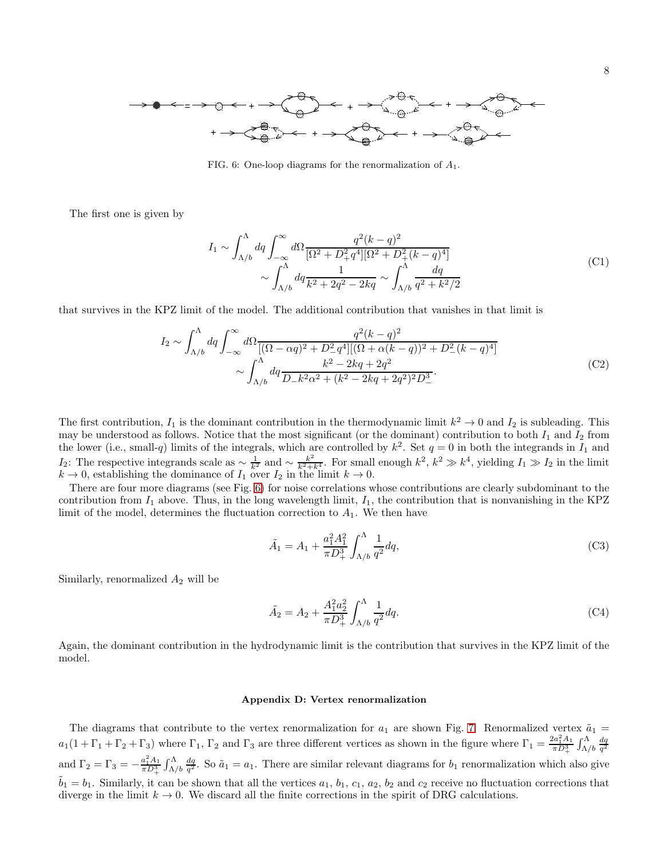

<span id="page-7-0"></span>FIG. 6: One-loop diagrams for the renormalization of  $A_1$ .

The first one is given by

$$
I_1 \sim \int_{\Lambda/b}^{\Lambda} dq \int_{-\infty}^{\infty} d\Omega \frac{q^2 (k-q)^2}{[\Omega^2 + D_+^2 q^4] [\Omega^2 + D_+^2 (k-q)^4]} \sim \int_{\Lambda/b}^{\Lambda} dq \frac{1}{k^2 + 2q^2 - 2kq} \sim \int_{\Lambda/b}^{\Lambda} \frac{dq}{q^2 + k^2/2}
$$
(C1)

that survives in the KPZ limit of the model. The additional contribution that vanishes in that limit is

$$
I_2 \sim \int_{\Lambda/b}^{\Lambda} dq \int_{-\infty}^{\infty} d\Omega \frac{q^2 (k-q)^2}{[(\Omega - \alpha q)^2 + D_-^2 q^4] [(\Omega + \alpha (k-q))^2 + D_-^2 (k-q)^4]} \sim \int_{\Lambda/b}^{\Lambda} dq \frac{k^2 - 2kq + 2q^2}{D_- k^2 \alpha^2 + (k^2 - 2kq + 2q^2)^2 D_-^3}.
$$
 (C2)

The first contribution,  $I_1$  is the dominant contribution in the thermodynamic limit  $k^2 \to 0$  and  $I_2$  is subleading. This may be understood as follows. Notice that the most significant (or the dominant) contribution to both  $I_1$  and  $I_2$  from the lower (i.e., small-q) limits of the integrals, which are controlled by  $k^2$ . Set  $q = 0$  in both the integrands in  $I_1$  and  $I_2$ : The respective integrands scale as  $\sim \frac{1}{k^2}$  and  $\sim \frac{k^2}{k^2+k_1^4}$ . For small enough  $k^2$ ,  $k^2 \gg k^4$ , yielding  $I_1 \gg I_2$  in the limit  $k \to 0$ , establishing the dominance of  $I_1$  over  $I_2$  in the limit  $k \to 0$ .

There are four more diagrams (see Fig. [6\)](#page-7-0) for noise correlations whose contributions are clearly subdominant to the contribution from  $I_1$  above. Thus, in the long wavelength limit,  $I_1$ , the contribution that is nonvanishing in the KPZ limit of the model, determines the fluctuation correction to  $A_1$ . We then have

$$
\tilde{A}_1 = A_1 + \frac{a_1^2 A_1^2}{\pi D_+^3} \int_{\Lambda/b}^{\Lambda} \frac{1}{q^2} dq,\tag{C3}
$$

Similarly, renormalized  $A_2$  will be

$$
\tilde{A}_2 = A_2 + \frac{A_1^2 a_2^2}{\pi D_+^3} \int_{\Lambda/b}^{\Lambda} \frac{1}{q^2} dq.
$$
\n(C4)

Again, the dominant contribution in the hydrodynamic limit is the contribution that survives in the KPZ limit of the model.

### Appendix D: Vertex renormalization

The diagrams that contribute to the vertex renormalization for  $a_1$  are shown Fig. [7.](#page-8-0) Renormalized vertex  $\tilde{a}_1$  =  $a_1(1+\Gamma_1+\Gamma_2+\Gamma_3)$  where  $\Gamma_1$ ,  $\Gamma_2$  and  $\Gamma_3$  are three different vertices as shown in the figure where  $\Gamma_1 = \frac{2a_1^2A_1}{\pi D_1^3} \int_{\Lambda/b}^{\Lambda} \frac{dq}{q^2}$ and  $\Gamma_2 = \Gamma_3 = -\frac{a_1^2 A_1}{\pi D_+^3} \int_{\Lambda/b}^{\Lambda}$  $\frac{dq}{q^2}$ . So  $\tilde{a}_1 = a_1$ . There are similar relevant diagrams for  $b_1$  renormalization which also give  $b_1 = b_1$ . Similarly, it can be shown that all the vertices  $a_1, b_1, c_1, a_2, b_2$  and  $c_2$  receive no fluctuation corrections that diverge in the limit  $k \to 0$ . We discard all the finite corrections in the spirit of DRG calculations.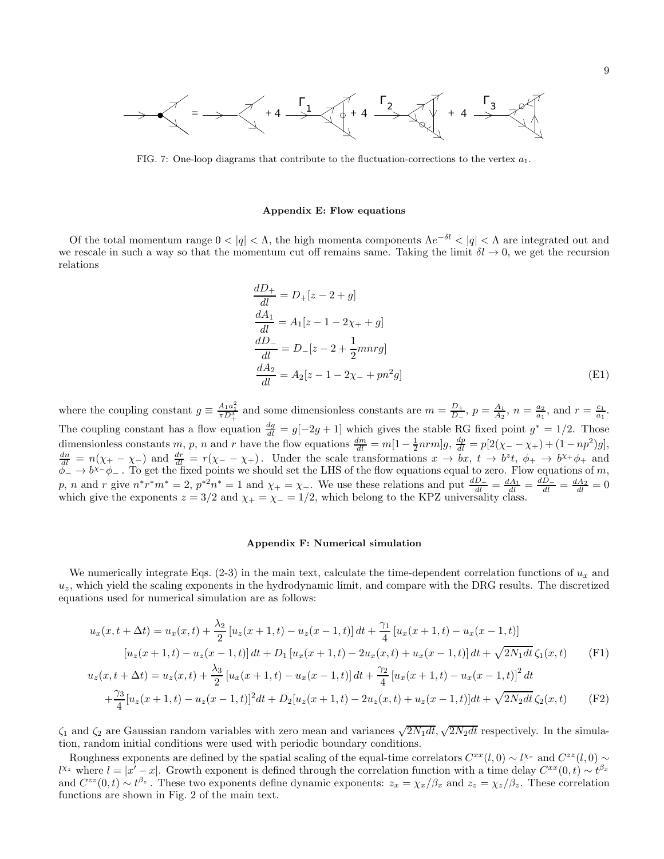

<span id="page-8-0"></span>FIG. 7: One-loop diagrams that contribute to the fluctuation-corrections to the vertex  $a_1$ .

#### Appendix E: Flow equations

Of the total momentum range  $0 < |q| < \Lambda$ , the high momenta components  $\Lambda e^{-\delta l} < |q| < \Lambda$  are integrated out and we rescale in such a way so that the momentum cut off remains same. Taking the limit  $\delta l \to 0$ , we get the recursion relations

$$
\frac{dD_{+}}{dl} = D_{+}[z - 2 + g] \n\frac{dA_{1}}{dl} = A_{1}[z - 1 - 2\chi_{+} + g] \n\frac{dD_{-}}{dl} = D_{-}[z - 2 + \frac{1}{2}mnrg] \n\frac{dA_{2}}{dl} = A_{2}[z - 1 - 2\chi_{-} + pn^{2}g]
$$
\n(E1)

where the coupling constant  $g \equiv \frac{A_1 a_1^2}{\pi D_1^3}$  and some dimensionless constants are  $m = \frac{D_+}{D_-}$  $\frac{D_+}{D_-}, p = \frac{A_1}{A_2}, n = \frac{a_2}{a_1}, \text{ and } r = \frac{c_1}{a_1}.$ The coupling constant has a flow equation  $\frac{dg}{dl} = g[-2g+1]$  which gives the stable RG fixed point  $g^* = 1/2$ . Those dimensionless constants  $m, p, n$  and r have the flow equations  $\frac{dm}{dl} = m[1 - \frac{1}{2}nrm]g$ ,  $\frac{dp}{dl} = p[2(\chi - \chi_{+}) + (1 - np^{2})g]$ ,  $\frac{dn}{dl} = n(\chi_+ - \chi_-)$  and  $\frac{dr}{dl} = r(\chi_- - \chi_+)$ . Under the scale transformations  $x \to bx$ ,  $t \to b^z t$ ,  $\phi_+ \to b^{\chi_+} \phi_+$  and  $\phi_{-} \to b^{\chi_{-}} \phi_{-}$ . To get the fixed points we should set the LHS of the flow equations equal to zero. Flow equations of m, p, n and r give  $n^*r^*m^* = 2$ ,  $p^*^2n^* = 1$  and  $\chi_+ = \chi_-$ . We use these relations and put  $\frac{dD_+}{dl_-} = \frac{dA_1}{dl_-} = \frac{dD_-}{dl_-} = \frac{dA_2}{dl_-} = 0$ which give the exponents  $z = 3/2$  and  $\chi_+ = \chi_- = 1/2$ , which belong to the KPZ universality class.

#### Appendix F: Numerical simulation

We numerically integrate Eqs.  $(2-3)$  in the main text, calculate the time-dependent correlation functions of  $u_x$  and  $u<sub>z</sub>$ , which yield the scaling exponents in the hydrodynamic limit, and compare with the DRG results. The discretized equations used for numerical simulation are as follows:

$$
u_x(x, t + \Delta t) = u_x(x, t) + \frac{\lambda_2}{2} \left[ u_z(x+1, t) - u_z(x-1, t) \right] dt + \frac{\gamma_1}{4} \left[ u_x(x+1, t) - u_x(x-1, t) \right]
$$

$$
\left[ u_z(x+1, t) - u_z(x-1, t) \right] dt + D_1 \left[ u_x(x+1, t) - 2u_x(x, t) + u_x(x-1, t) \right] dt + \sqrt{2N_1 dt} \zeta_1(x, t) \tag{F1}
$$

$$
u_z(x, t + \Delta t) = u_z(x, t) + \frac{\lambda_3}{2} \left[ u_x(x+1, t) - u_x(x-1, t) \right] dt + \frac{\gamma_2}{4} \left[ u_x(x+1, t) - u_x(x-1, t) \right]^2 dt + \frac{\gamma_3}{4} \left[ u_z(x+1, t) - u_z(x-1, t) \right]^2 dt + D_2 \left[ u_z(x+1, t) - 2u_z(x, t) + u_z(x-1, t) \right] dt + \sqrt{2N_2 dt} \zeta_2(x, t) \tag{F2}
$$

 $\zeta_1$  and  $\zeta_2$  are Gaussian random variables with zero mean and variances  $\sqrt{2N_1dt}, \sqrt{2N_2dt}$  respectively. In the simulation, random initial conditions were used with periodic boundary conditions.

Roughness exponents are defined by the spatial scaling of the equal-time correlators  $C^{xx}(l, 0) \sim l^{x}$  and  $C^{zz}(l, 0) \sim$  $l^{x_z}$  where  $l = |x' - x|$ . Growth exponent is defined through the correlation function with a time delay  $C^{xx}(0,t) \sim t^{\beta_x}$ and  $C^{zz}(0,t) \sim t^{\beta_z}$ . These two exponents define dynamic exponents:  $z_x = \chi_x/\beta_x$  and  $z_z = \chi_z/\beta_z$ . These correlation functions are shown in Fig. 2 of the main text.